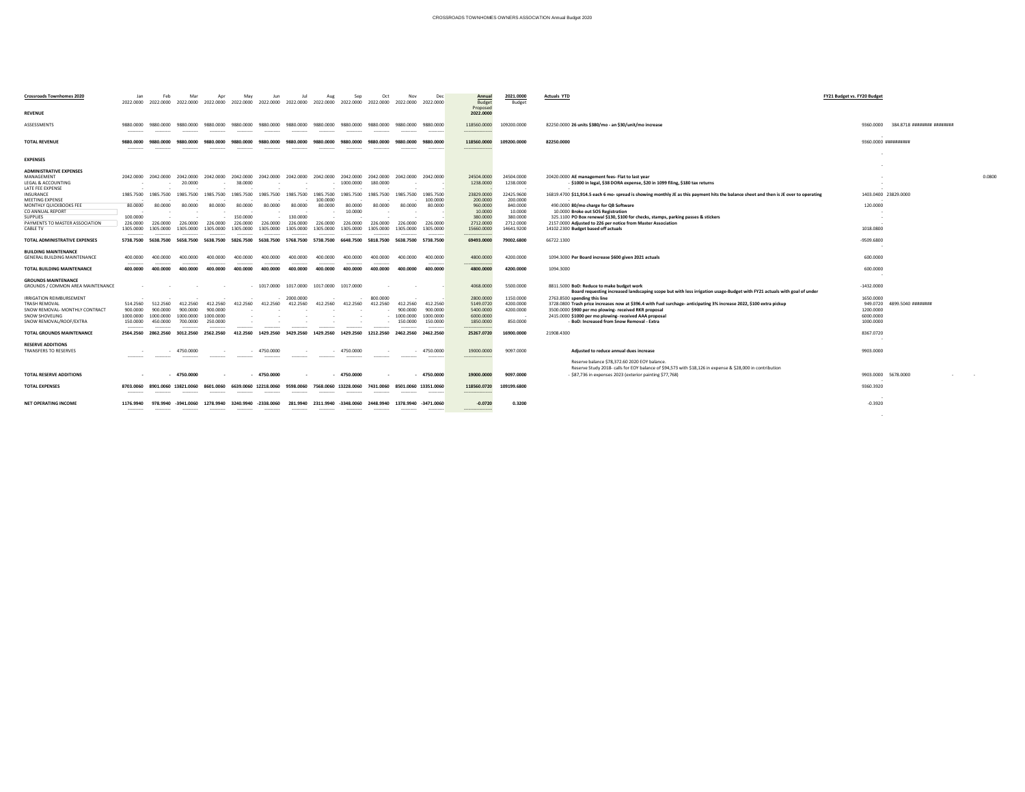| <b>Crossroads Townhomes 2020</b>                                   |                         | 2022.0000 2022.0000 |              | 2022.0000 2022.0000                                                                  | 2022.0000               | 2022.0000            | 2022.0000               | 2022.0000                       | 2022.0000                 | 2022.0000 2022.0000             |             | Dec<br>2022.0000                                                   | <b>Annual</b><br><b>Budget</b><br>Proposed | 2021.0000<br><b>Budget</b> | <b>Actuals YTD</b>                                                                                                                                                   | <b>FY21 Budget vs. FY20 Budge</b> |                             |
|--------------------------------------------------------------------|-------------------------|---------------------|--------------|--------------------------------------------------------------------------------------|-------------------------|----------------------|-------------------------|---------------------------------|---------------------------|---------------------------------|-------------|--------------------------------------------------------------------|--------------------------------------------|----------------------------|----------------------------------------------------------------------------------------------------------------------------------------------------------------------|-----------------------------------|-----------------------------|
| <b>REVENUE</b>                                                     |                         |                     |              |                                                                                      |                         |                      |                         |                                 |                           |                                 |             |                                                                    | 2022.0000                                  |                            |                                                                                                                                                                      |                                   |                             |
| ASSESSMENTS                                                        | 9880.0000<br>---------- | 9880.0000           | 9880.0000    | 9880.0000                                                                            | 9880.0000               | 9880.0000            | 9880.0000               | 9880.0000                       | 9880.0000                 | 9880.0000                       | 9880.0000   | 9880.0000<br>-----------                                           | 118560.0000<br>-----------------           | 109200.0000                | 82250.0000 26 units \$380/mo - an \$30/unit/mo increase                                                                                                              | 9360.0000                         | 384.8718 ######## ########  |
| <b>TOTAL REVENUE</b>                                               | 9880.0000<br>---------- |                     | 9880.0000    | 9880.0000                                                                            | 9880.0000               | 9880.0000            | 9880.0000               | 9880.0000                       | 9880.0000                 | 9880.0000                       | 9880.0000   | 9880.0000                                                          | 118560.0000<br>---------------             | 109200.0000                | 82250.0000                                                                                                                                                           | 9360.0000 ##########              |                             |
| <b>EXPENSES</b>                                                    |                         |                     |              |                                                                                      |                         |                      |                         |                                 |                           |                                 |             |                                                                    |                                            |                            |                                                                                                                                                                      |                                   |                             |
| <b>ADMINISTRATIVE EXPENSES</b>                                     |                         |                     |              |                                                                                      |                         |                      |                         |                                 |                           |                                 |             |                                                                    |                                            |                            |                                                                                                                                                                      |                                   |                             |
| MANAGEMENT<br>LEGAL & ACCOUNTING<br>LATE FEE EXPENSE               |                         |                     | 20.0000      | 2042.0000 2042.0000 2042.0000 2042.0000                                              | 2042.0000<br>38.0000    | 2042.0000            |                         | 2042.0000 2042.0000             | 2042.0000<br>$-1000.0000$ | 2042.0000 2042.0000<br>180.0000 |             | 2042.0000                                                          | 24504.0000<br>1238.0000                    | 24504.0000<br>1238.0000    | 20420.0000 AE management fees- Flat to last year<br>- \$1000 in legal, \$38 DORA expense, \$20 in 1099 filing, \$180 tax returns                                     |                                   | 0.0800                      |
| INSURANCE<br><b>MEETING EXPENSE</b>                                | 1985.7500               | 1985.7500           | 1985.7500    | 1985.7500                                                                            | 1985.7500               | 1985.7500            | 1985.7500               | 1985.7500<br>100.0000           | 1985.7500                 |                                 |             | 1985.7500<br>100.0000                                              | 23829.0000<br>200.0000                     | 22425.9600<br>200.0000     | 16819.4700 \$11,914.5 each 6 mo- spread is showing monthly JE as this payment hits the balance sheet and then is JE over to operating                                | 1403.0400 23829.0000              |                             |
| <b>MONTHLY QUICKBOOKS FEE</b><br>CO ANNUAL REPORT                  | 80.0000                 | 80.0000             | 80.0000      | 80.0000                                                                              | 80.0000                 | 80.0000              | 80.0000                 | 80.0000                         | 80.0000<br>10.0000        | 80.0000                         | 80.0000     | 80.0000                                                            | 960.0000<br>10.0000                        | 840.0000<br>10.0000        | 490.0000 80/mo charge for QB Software<br>10.0000 Broke out SOS Registration                                                                                          | 120.0000                          |                             |
| <b>SUPPLIES</b><br>PAYMENTS TO MASTER ASSOCIATION                  | 100.0000<br>226.0000    | 226.0000            | 226.0000     | 226.0000                                                                             | 150.0000<br>226.0000    | 226.0000             | 130.0000<br>226.0000    | 226.0000                        | 226.0000                  | 226,0000                        | 226.0000    | 226.0000                                                           | 380.0000<br>2712.0000                      | 380.0000<br>2712.0000      | 325.1100 PO Box renewal \$130, \$100 for checks, stamps, parking passes & stickers<br>2157.0000 Adjusted to 226 per notice from Master Association                   |                                   |                             |
| <b>CABLE TV</b>                                                    | 1305.0000<br>---------- | 1305.0000           | 1305.0000    | 1305.0000                                                                            | 1305.0000<br>---------- | 1305.0000<br>.       | 1305.0000<br>---------- | .305.0000<br>----------         | 1305.0000                 | 1305.0000<br>----------         | 1305.0000   | 1305.0000<br>-----------                                           | 15660.0000<br>----------------             | 14641.9200                 | 14102.2300 Budget based off actuals                                                                                                                                  | 1018.0800                         |                             |
| TOTAL ADMINISTRATIVE EXPENSES                                      | 5738.7500               | 5638.7500           | 5658.7500    | 5638.7500                                                                            | 5826.7500               | 5638.7500            | 5768.7500               | 5738.7500                       | 6648.7500                 | 5818.7500                       | 5638.7500   | 5738.7500                                                          | 69493.0000                                 | 79002.6800                 | 66722.1300                                                                                                                                                           | -9509.6800                        |                             |
| <b>BUILDING MAINTENANCE</b><br><b>GENERAL BUILDING MAINTENANCE</b> | 400.0000                |                     | 400.0000     | 400.0000                                                                             | 400.0000                | 400.0000             | 400.0000                | 400.0000                        | 400.0000                  | 400.0000                        | 400.0000    | 400.0000                                                           | 4800.0000                                  | 4200.0000                  | 1094.3000 Per Board increase \$600 given 2021 actuals                                                                                                                | 600.0000                          |                             |
| <b>TOTAL BUILDING MAINTENANCE</b>                                  | 400.0000                | 400.0000            | 400.0000     | 400.0000                                                                             | 400.0000                | 400.0000             | 400.0000                | 400.0000                        | 400.0000                  | 400.0000                        | 400.0000    | ----------<br>400.0000                                             | ----------------<br>4800.0000              | 4200.0000                  | 1094.3000                                                                                                                                                            | 600.0000                          |                             |
| <b>GROUNDS MAINTENANCE</b>                                         |                         |                     |              |                                                                                      |                         |                      |                         |                                 |                           |                                 |             |                                                                    |                                            |                            |                                                                                                                                                                      |                                   |                             |
| <b>GROUNDS / COMMON AREA MAINTENANCE</b>                           |                         |                     |              |                                                                                      |                         | - 1017.0000          |                         | 1017.0000  1017.0000  1017.0000 |                           |                                 |             |                                                                    | 4068.0000                                  | 5500.0000                  | 8811.5000 BoD: Reduce to make budget work<br>Board requesting increased landscaping scope but with less irrigation usage-Budget with FY21 actuals with goal of under | $-1432.0000$                      |                             |
| <b>IRRIGATION REIMBURSEMENT</b>                                    |                         |                     |              |                                                                                      |                         |                      | 2000.0000               |                                 |                           | 800.0000                        |             |                                                                    | 2800.0000                                  | 1150.0000                  | 2763.8500 spending this line                                                                                                                                         | 1650.0000                         |                             |
| TRASH REMOVAL                                                      | 514.2560                |                     |              | 512.2560 412.2560 412.2560                                                           | 412.2560                | 412.2560             | 412.2560                | 412.2560                        | 412.2560                  | 412.2560                        | 412.2560    | 412.2560                                                           | 5149.0720                                  | 4200.0000                  | 3728.0800 Trash price increases now at \$396.4 with Fuel surchage- anticipating 3% increase 2022, \$100 extra pickup                                                 |                                   | 949.0720 4899.5040 ######## |
| SNOW REMOVAL- MONTHLY CONTRACT<br>SNOW SHOVELING                   |                         |                     |              | 900.0000   900.0000   900.0000   900.0000<br>1000.0000 1000.0000 1000.0000 1000.0000 |                         |                      |                         |                                 |                           |                                 | 900.0000    | 900.0000<br>$- 1000.0000 1000.0000$                                | 5400.0000<br>6000.0000                     | 4200.0000                  | 3500.0000 \$900 per mo plowing- received RKR proposal<br>2415.0000 \$1000 per mo plowing- received AAA proposal                                                      | 1200.0000<br>6000.0000            |                             |
| SNOW REMOVAL/ROOF/EXTRA                                            | 150.0000                | 450.0000            |              | 700.0000 250.0000                                                                    |                         |                      |                         |                                 |                           |                                 | $-150.0000$ | 150.0000                                                           | 1850.0000                                  | 850.0000                   | - BoD: Increased from Snow Removal - Extra                                                                                                                           | 1000.0000                         |                             |
|                                                                    |                         |                     |              |                                                                                      |                         |                      |                         |                                 |                           |                                 |             |                                                                    | -----------------                          |                            |                                                                                                                                                                      |                                   |                             |
| <b>TOTAL GROUNDS MAINTENANCE</b>                                   | 2564.2560               |                     |              | 2862.2560 3012.2560 2562.2560                                                        | 412.2560                | 1429.2560            |                         |                                 |                           |                                 |             | 2462.2560                                                          | 25267.0720                                 | 16900.0000                 | 21908.4300                                                                                                                                                           | 8367.0720                         |                             |
| <b>RESERVE ADDITIONS</b>                                           |                         |                     |              |                                                                                      |                         |                      |                         |                                 |                           |                                 |             |                                                                    |                                            |                            |                                                                                                                                                                      |                                   |                             |
| <b>TRANSFERS TO RESERVES</b>                                       |                         |                     | $-4750.0000$ |                                                                                      |                         | - 4750.0000          |                         |                                 | - 4750.0000               |                                 |             | $-4750.0000$<br>----------                                         | 19000.0000<br>----------------             | 9097.0000                  | Adjusted to reduce annual dues increase                                                                                                                              | 9903.0000                         |                             |
|                                                                    |                         |                     |              |                                                                                      |                         |                      |                         |                                 |                           |                                 |             |                                                                    |                                            |                            | Reserve balance \$78,372.60 2020 EOY balance.<br>Reserve Study 2018- calls for EOY balance of \$94,573 with \$18,126 in expense & \$28,000 in contribution           |                                   |                             |
| <b>TOTAL RESERVE ADDITIONS</b>                                     |                         |                     | $-4750.0000$ |                                                                                      |                         | $-4750.0000$         |                         |                                 | - 4750.0000               |                                 |             | $-4750.0000$                                                       | 19000.0000                                 | 9097.0000                  | - \$87,736 in expenses 2023 (exterior painting \$77,768)                                                                                                             | 9903.0000 5678.0000               | the company's state of      |
| <b>TOTAL EXPENSES</b>                                              |                         |                     |              | 8703.0060 8901.0060 13821.0060 8601.0060                                             |                         | 6639.0060 12218.0060 | 9598.0060               |                                 |                           |                                 |             | 7568.0060 13228.0060 7431.0060 8501.0060 13351.0060<br>----------- | 118560.0720<br>-----------------           | 109199.6800                |                                                                                                                                                                      | 9360.3920                         |                             |
| <b>NET OPERATING INCOME</b>                                        | 1176.9940               |                     |              | 978.9940 -3941.0060 1278.9940                                                        | 3240.9940               | -2338.0060           | 281.9940                |                                 | 2311.9940 -3348.0060      |                                 |             | 2448.9940  1378.9940  -3471.0060                                   | $-0.0720$                                  | 0.3200                     |                                                                                                                                                                      | $\sim$ $-$<br>$-0.3920$           |                             |
|                                                                    |                         |                     |              |                                                                                      |                         |                      |                         |                                 |                           |                                 |             |                                                                    | ------------------                         |                            |                                                                                                                                                                      | $\sim 100$ m $^{-1}$              |                             |

## \$87,736 in expenses 2023 (exterior painting \$77,768) 9903.0000 5678.0000 - -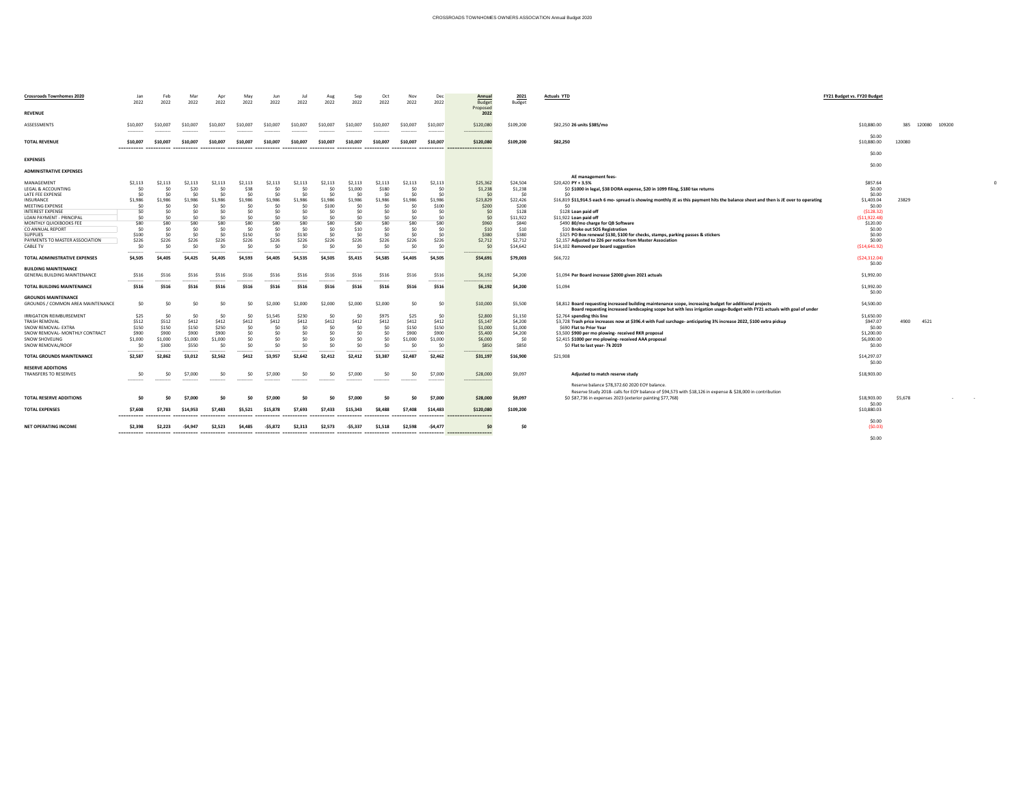# $$5,678$   $-$  -  $-$

| <b>Crossroads Townhomes 2020</b>                                                                                                                                                                                                                                         | Jan<br>2022                                                                                   | Feb<br>2022                                                                                | Mar<br>2022                                                                                | Apr<br>2022                                                     | May<br>2022                                                                             | Jun<br>2022                                                                                 | Jul<br>2022                                                                                   | Aug<br>2022                                                                                   | Sep<br>2022                                                                                       | Oct<br>2022                                                                             | Nov<br>2022                                                     | Dec<br>2022                                                                                | <b>Annual</b><br><b>Budget</b>                                                                     | <u>2021</u><br><b>Budget</b>                                                                                          | <b>Actuals YTD</b>                                                                                                                                                                                                                                                                                                                                                                                                                                                                                                                                                                                         | <b>FY21 Budget vs. FY20 Budget</b>                                                                                                                 |                   |
|--------------------------------------------------------------------------------------------------------------------------------------------------------------------------------------------------------------------------------------------------------------------------|-----------------------------------------------------------------------------------------------|--------------------------------------------------------------------------------------------|--------------------------------------------------------------------------------------------|-----------------------------------------------------------------|-----------------------------------------------------------------------------------------|---------------------------------------------------------------------------------------------|-----------------------------------------------------------------------------------------------|-----------------------------------------------------------------------------------------------|---------------------------------------------------------------------------------------------------|-----------------------------------------------------------------------------------------|-----------------------------------------------------------------|--------------------------------------------------------------------------------------------|----------------------------------------------------------------------------------------------------|-----------------------------------------------------------------------------------------------------------------------|------------------------------------------------------------------------------------------------------------------------------------------------------------------------------------------------------------------------------------------------------------------------------------------------------------------------------------------------------------------------------------------------------------------------------------------------------------------------------------------------------------------------------------------------------------------------------------------------------------|----------------------------------------------------------------------------------------------------------------------------------------------------|-------------------|
| <b>REVENUE</b>                                                                                                                                                                                                                                                           |                                                                                               |                                                                                            |                                                                                            |                                                                 |                                                                                         |                                                                                             |                                                                                               |                                                                                               |                                                                                                   |                                                                                         |                                                                 |                                                                                            | Proposed<br>2022                                                                                   |                                                                                                                       |                                                                                                                                                                                                                                                                                                                                                                                                                                                                                                                                                                                                            |                                                                                                                                                    |                   |
| ASSESSMENTS                                                                                                                                                                                                                                                              | \$10,007<br>----------                                                                        | \$10,007                                                                                   | \$10,007                                                                                   | \$10,007                                                        | \$10,007                                                                                | \$10,007                                                                                    | \$10,007<br>----------                                                                        | \$10,007<br>----------                                                                        | \$10,007<br>----------                                                                            | \$10,007                                                                                | \$10,007                                                        | \$10,007<br>----------                                                                     | \$120,080<br>----------------                                                                      | \$109,200                                                                                                             | \$82,250 26 units \$385/mo                                                                                                                                                                                                                                                                                                                                                                                                                                                                                                                                                                                 | \$10,880.00                                                                                                                                        | 385 120080 109200 |
| <b>TOTAL REVENUE</b>                                                                                                                                                                                                                                                     | \$10,007                                                                                      |                                                                                            | \$10,007                                                                                   | \$10.007                                                        |                                                                                         | \$10.007                                                                                    | \$10.007                                                                                      | \$10.007                                                                                      | \$10,007                                                                                          | \$10,007                                                                                | \$10.007                                                        | \$10,007                                                                                   | \$120,080<br>==================                                                                    | \$109,200                                                                                                             | \$82,250                                                                                                                                                                                                                                                                                                                                                                                                                                                                                                                                                                                                   | \$0.00<br>\$10,880.00                                                                                                                              | 120080            |
| <b>EXPENSES</b>                                                                                                                                                                                                                                                          |                                                                                               |                                                                                            |                                                                                            |                                                                 |                                                                                         |                                                                                             |                                                                                               |                                                                                               |                                                                                                   |                                                                                         |                                                                 |                                                                                            |                                                                                                    |                                                                                                                       |                                                                                                                                                                                                                                                                                                                                                                                                                                                                                                                                                                                                            | \$0.00                                                                                                                                             |                   |
| <b>ADMINISTRATIVE EXPENSES</b>                                                                                                                                                                                                                                           |                                                                                               |                                                                                            |                                                                                            |                                                                 |                                                                                         |                                                                                             |                                                                                               |                                                                                               |                                                                                                   |                                                                                         |                                                                 |                                                                                            |                                                                                                    |                                                                                                                       |                                                                                                                                                                                                                                                                                                                                                                                                                                                                                                                                                                                                            | \$0.00                                                                                                                                             |                   |
| MANAGEMENT<br>LEGAL & ACCOUNTING<br>LATE FEE EXPENSE<br>INSURANCE<br><b>MEETING EXPENSE</b><br><b>INTEREST EXPENSE</b><br>LOAN PAYMENT - PRINCIPAL<br>MONTHLY QUICKBOOKS FEE<br>CO ANNUAL REPORT<br><b>SUPPLIES</b><br>PAYMENTS TO MASTER ASSOCIATION<br><b>CABLE TV</b> | \$2,113<br>\$0<br>\$0<br>\$1,986<br>\$0<br>\$0<br>\$0<br>\$80<br>\$0<br>\$100<br>\$226<br>\$0 | \$2,113<br>\$0<br>\$0<br>\$1,986<br>\$0<br>\$0<br>\$0<br>\$80<br>\$0<br>\$0<br>\$226<br>ረስ | \$2,113<br>\$20<br>\$0<br>\$1,986<br>\$0<br>\$0<br>50<br>\$80<br>\$0<br>\$0<br>\$226<br>50 | \$2,113<br>\$0<br>\$0<br>\$1,986<br>\$80<br>\$0<br>\$226<br>¢٢  | \$2,113<br>\$38<br>\$0<br>\$1,986<br>\$0<br>\$0<br>\$0<br>\$80<br>\$0<br>\$150<br>\$226 | \$2,113<br>\$0<br>\$0<br>\$1,986<br>\$0<br>\$0<br>\$0<br>\$80<br>\$0<br>\$0<br>\$226<br>\$0 | \$2,113<br>\$0<br>\$0<br>\$1,986<br>\$0<br>\$0<br>\$0<br>\$80<br>\$0<br>\$130<br>\$226<br>\$0 | \$2,113<br>\$0<br>\$0<br>\$1,986<br>\$100<br>\$0<br>\$0<br>\$80<br>\$0<br>\$0<br>\$226<br>\$0 | \$2,113<br>\$1,000<br>\$0<br>\$1,986<br>\$0<br>\$0<br>.SO<br>\$80<br>\$10<br>\$0<br>\$226<br>− ¢∩ | \$2,113<br>\$180<br>\$0<br>\$1,986<br>\$0<br>\$0<br>≮∩<br>\$80<br>\$0<br>. \$በ<br>\$226 | \$2,113<br>\$C<br>\$0<br>\$1,986<br>\$C<br>\$80<br>\$0<br>\$226 | \$2,113<br>\$0<br>\$0<br>\$1,986<br>\$100<br>-\$0<br>. \$በ<br>\$80<br>\$0<br>\$226<br>-\$0 | \$25,362<br>\$1,238<br>\$0<br>\$23,829<br>\$200<br>\$0<br>\$0<br>\$960<br>\$10<br>\$380<br>\$2,712 | \$24,504<br>\$1,238<br>\$0<br>\$22,426<br>\$200<br>\$128<br>\$11,922<br>\$840<br>\$10<br>\$380<br>\$2,712<br>\$14,642 | AE management fees-<br>\$20,420 PY + 3.5%<br>\$0 \$1000 in legal, \$38 DORA expense, \$20 in 1099 filing, \$180 tax returns<br><b>SO</b><br>\$16,819 \$11,914.5 each 6 mo- spread is showing monthly JE as this payment hits the balance sheet and then is JE over to operating<br>\$0<br>\$128 Loan paid off<br>\$11,922 Loan paid off<br>\$490 80/mo charge for QB Software<br>\$10 Broke out SOS Registration<br>\$325 PO Box renewal \$130, \$100 for checks, stamps, parking passes & stickers<br>\$2,157 Adjusted to 226 per notice from Master Association<br>\$14,102 Removed per board suggestion | \$857.64<br>\$0.00<br>\$0.00<br>\$1,403.04<br>\$0.00<br>( \$128.32)<br>( \$11, 922.48)<br>\$120.00<br>\$0.00<br>\$0.00<br>\$0.00<br>( \$14,641.92) | 23829             |
| TOTAL ADMINISTRATIVE EXPENSES                                                                                                                                                                                                                                            | ----------<br>\$4,505                                                                         | ----------<br>\$4,405                                                                      | \$4,425                                                                                    | \$4,405                                                         | --------<br>\$4,593                                                                     | <br>\$4,405                                                                                 | ---------<br>\$4,535                                                                          | ----------<br>\$4,505                                                                         | ----------<br>\$5,415                                                                             | ----------<br>\$4,585                                                                   | ---------<br>\$4,405                                            | ----------<br>\$4,505                                                                      | \$54,691                                                                                           | \$79,003                                                                                                              | \$66,722                                                                                                                                                                                                                                                                                                                                                                                                                                                                                                                                                                                                   | (524, 312.04)                                                                                                                                      |                   |
| <b>BUILDING MAINTENANCE</b><br><b>GENERAL BUILDING MAINTENANCE</b>                                                                                                                                                                                                       | \$516<br>----------                                                                           | \$516                                                                                      | \$516                                                                                      | \$516                                                           | \$516                                                                                   | \$516                                                                                       | \$516                                                                                         | \$516                                                                                         | \$516                                                                                             | \$516<br>----------                                                                     | \$516                                                           | \$516<br>----------                                                                        | \$6,192                                                                                            | \$4,200                                                                                                               | \$1,094 Per Board increase \$2000 given 2021 actuals                                                                                                                                                                                                                                                                                                                                                                                                                                                                                                                                                       | \$0.00<br>\$1,992.00                                                                                                                               |                   |
| <b>TOTAL BUILDING MAINTENANCE</b>                                                                                                                                                                                                                                        | \$516                                                                                         | \$516                                                                                      | \$516                                                                                      | \$516                                                           | \$516                                                                                   | \$516                                                                                       | \$516                                                                                         | \$516                                                                                         | \$516                                                                                             | \$516                                                                                   | \$516                                                           | \$516                                                                                      | \$6,192                                                                                            | \$4,200                                                                                                               | \$1,094                                                                                                                                                                                                                                                                                                                                                                                                                                                                                                                                                                                                    | \$1,992.00<br>\$0.00                                                                                                                               |                   |
| <b>GROUNDS MAINTENANCE</b><br>GROUNDS / COMMON AREA MAINTENANCE                                                                                                                                                                                                          | \$0\$                                                                                         | \$0                                                                                        | \$0                                                                                        | \$0                                                             | \$0                                                                                     | \$2,000                                                                                     | \$2,000                                                                                       | \$2,000                                                                                       | \$2,000                                                                                           | \$2,000                                                                                 | \$0                                                             |                                                                                            | \$10,000                                                                                           | \$5,500                                                                                                               | \$8,812 Board requesting increased building maintenance scope, increasing budget for additional projects<br>Board requesting increased landscaping scope but with less irrigation usage-Budget with FY21 actuals with goal of under                                                                                                                                                                                                                                                                                                                                                                        | \$4,500.00                                                                                                                                         |                   |
| <b>IRRIGATION REIMBURSEMENT</b><br><b>TRASH REMOVAL</b><br>SNOW REMOVAL- EXTRA<br>SNOW REMOVAL- MONTHLY CONTRACT<br>SNOW SHOVELING<br>SNOW REMOVAL/ROOF                                                                                                                  | \$25<br>\$512<br>\$150<br>\$900<br>\$1,000<br>\$0<br>----------                               | \$0<br>\$512<br>\$150<br>\$900<br>\$1,000<br>\$300<br>----------                           | \$0<br>\$412<br>\$150<br>\$900<br>\$1,000<br>\$550<br>----------                           | \$0<br>\$412<br>\$250<br>\$900<br>\$1,000<br>\$0<br>----------- | \$0<br>\$412<br>\$0<br>\$0<br>\$0<br>\$0<br>----------                                  | \$1,545<br>\$412<br>\$0<br>\$0<br>\$0<br>\$0<br>---------                                   | \$230<br>\$412<br>\$0<br>\$0<br>\$0<br>\$0<br>----------                                      | \$0<br>\$412<br>\$0<br>\$0<br>\$0<br>\$0<br>----------                                        | \$412<br>\$0<br>\$0<br>\$0<br>\$0<br>----------                                                   | \$975<br>\$412<br>\$0<br>\$0<br>\$0<br>\$0<br>----------                                | \$25<br>\$412<br>\$150<br>\$900<br>\$1,000<br>---------         | \$0<br>\$412<br>\$150<br>\$900<br>\$1,000<br>\$0<br>----------                             | \$2,800<br>\$5,147<br>\$1,000<br>\$5,400<br>\$6,000<br>\$850<br>-----------------                  | \$1,150<br>\$4,200<br>\$1,000<br>\$4,200<br>\$0<br>\$850                                                              | \$2,764 spending this line<br>\$3,728 Trash price increases now at \$396.4 with Fuel surchage- anticipating 3% increase 2022, \$100 extra pickup<br>\$690 Flat to Prior Year<br>\$3,500 \$900 per mo plowing- received RKR proposal<br>\$2,415 \$1000 per mo plowing- received AAA proposal<br>\$0 Flat to last year- 7k 2019                                                                                                                                                                                                                                                                              | \$1,650.00<br>\$947.07<br>\$0.00<br>\$1,200.00<br>\$6,000.00<br>\$0.00                                                                             | 4900<br>4521      |
| <b>TOTAL GROUNDS MAINTENANCE</b>                                                                                                                                                                                                                                         | \$2,587                                                                                       | \$2,862                                                                                    | \$3,012                                                                                    | \$2,562                                                         | \$412                                                                                   | \$3,957                                                                                     | \$2,642                                                                                       | \$2,412                                                                                       | \$2,412                                                                                           | \$3,387                                                                                 | \$2,487                                                         | \$2,462                                                                                    | \$31,197                                                                                           | \$16,900                                                                                                              | \$21,908                                                                                                                                                                                                                                                                                                                                                                                                                                                                                                                                                                                                   | \$14,297.07<br>\$0.00                                                                                                                              |                   |
| <b>RESERVE ADDITIONS</b><br>TRANSFERS TO RESERVES                                                                                                                                                                                                                        | \$0<br>-----------                                                                            | \$0<br>----------                                                                          | \$7,000<br>-----------                                                                     | \$0<br>-----------                                              | \$0<br>-----------                                                                      | \$7,000<br>----------                                                                       | \$0<br>-----------                                                                            | \$0<br>-----------                                                                            | \$7,000<br>-----------                                                                            | \$0<br>-----------                                                                      | \$0<br>-----------                                              | \$7,000<br>-----------                                                                     | \$28,000<br>-----------------                                                                      | \$9,097                                                                                                               | Adjusted to match reserve study                                                                                                                                                                                                                                                                                                                                                                                                                                                                                                                                                                            | \$18,903.00                                                                                                                                        |                   |
| <b>TOTAL RESERVE ADDITIONS</b><br><b>TOTAL EXPENSES</b>                                                                                                                                                                                                                  | \$0<br>\$7,608                                                                                | \$0<br>\$7,783                                                                             | \$7,000<br>\$14,953                                                                        | \$0<br>\$7,483                                                  | \$0<br>\$5,521                                                                          | \$7,000<br>\$15,878                                                                         | \$0<br>\$7,693                                                                                | \$0<br>\$7,433                                                                                | \$7,000<br>\$15,343                                                                               | \$0<br>\$8.488                                                                          | \$0<br>\$7,408                                                  | \$7,000<br>\$14,483                                                                        | \$28,000<br>\$120,080                                                                              | \$9,097<br>\$109,200                                                                                                  | Reserve balance \$78,372.60 2020 EOY balance.<br>Reserve Study 2018- calls for EOY balance of \$94,573 with \$18,126 in expense & \$28,000 in contribution<br>\$0 \$87,736 in expenses 2023 (exterior painting \$77,768)                                                                                                                                                                                                                                                                                                                                                                                   | \$18,903.00<br>\$0.00<br>\$10,880.03                                                                                                               | \$5,678           |
|                                                                                                                                                                                                                                                                          |                                                                                               |                                                                                            |                                                                                            |                                                                 |                                                                                         |                                                                                             |                                                                                               |                                                                                               |                                                                                                   |                                                                                         |                                                                 |                                                                                            | ___________________________________                                                                |                                                                                                                       |                                                                                                                                                                                                                                                                                                                                                                                                                                                                                                                                                                                                            | \$0.00                                                                                                                                             |                   |
| <b>NET OPERATING INCOME</b>                                                                                                                                                                                                                                              | \$2,398                                                                                       | \$2,223                                                                                    | -\$4.947                                                                                   | \$2,523                                                         | <b>S4.485</b>                                                                           | -\$5.872                                                                                    | \$2,313                                                                                       | \$2,573                                                                                       | -\$5.337                                                                                          | \$1.518                                                                                 | \$2,598                                                         | -\$4,477                                                                                   |                                                                                                    | \$0                                                                                                                   |                                                                                                                                                                                                                                                                                                                                                                                                                                                                                                                                                                                                            | (50.03)<br>\$0.00                                                                                                                                  |                   |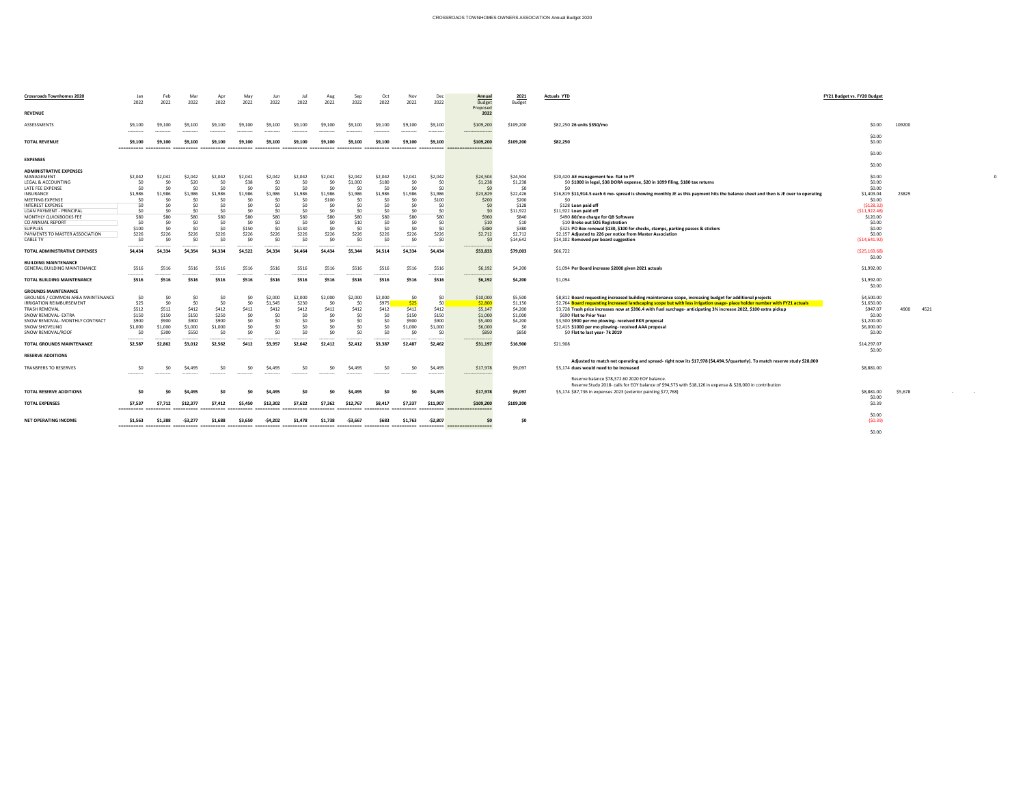| <b>Crossroads Townhomes 2020</b>                      | Jan<br>2022           | Feb<br>2022           | Mar<br>2022            | Apr<br>2022    | May<br>2022            | Jun<br>2022           | Jul<br>2022        | Aug<br>2022           | Sep<br>2022               | Oct<br>2022             | Nov<br>2022       | Dec<br>2022            | <b>Annual</b><br><b>Budget</b><br>Proposed | <u>2021</u><br><b>Budget</b> | <b>Actuals YTD</b>                                                                                                                                                          | <b>FY21 Budget vs. FY20 Budget</b> |              |
|-------------------------------------------------------|-----------------------|-----------------------|------------------------|----------------|------------------------|-----------------------|--------------------|-----------------------|---------------------------|-------------------------|-------------------|------------------------|--------------------------------------------|------------------------------|-----------------------------------------------------------------------------------------------------------------------------------------------------------------------------|------------------------------------|--------------|
| <b>REVENUE</b>                                        |                       |                       |                        |                |                        |                       |                    |                       |                           |                         |                   |                        | 2022                                       |                              |                                                                                                                                                                             |                                    |              |
| ASSESSMENTS                                           | \$9,100<br>---------- | \$9,100<br>---------- | \$9,100                | \$9,100        | \$9,100                | \$9,100               | \$9,100            | \$9,100               | \$9,100                   | \$9,100                 | \$9,100           | \$9,100                | \$109,200                                  | \$109,200                    | \$82,250 26 units \$350/mo                                                                                                                                                  | \$0.00                             | 109200       |
| <b>TOTAL REVENUE</b>                                  | \$9,100               | \$9.100               |                        |                |                        | \$9.100               | \$9,100            | \$9,100               | \$9.100                   | \$9.100                 | \$9.100           | \$9,100                | \$109,200<br>==================            | \$109,200                    | \$82,250                                                                                                                                                                    | \$0.00<br>\$0.00                   |              |
| <b>EXPENSES</b>                                       |                       |                       |                        |                |                        |                       |                    |                       |                           |                         |                   |                        |                                            |                              |                                                                                                                                                                             | \$0.00                             |              |
| <b>ADMINISTRATIVE EXPENSES</b>                        |                       |                       |                        |                |                        |                       |                    |                       |                           |                         |                   |                        |                                            |                              |                                                                                                                                                                             | \$0.00                             |              |
| MANAGEMENT<br>LEGAL & ACCOUNTING<br>LATE FEE EXPENSE  | \$2,042<br>\$0<br>\$0 | \$2,042<br>\$0<br>\$0 | \$2,042<br>\$20<br>\$0 | \$2,042<br>\$0 | \$2,042<br>\$38<br>\$0 | \$2,042<br>\$C<br>\$0 | \$2,042<br>\$0     | \$2,042<br>\$C<br>\$0 | \$2,042<br>\$1,000<br>\$0 | \$2,042<br>\$180<br>\$0 | \$2,042<br>\$C    | \$2,042                | \$24,504<br>\$1,238<br>\$0                 | \$24,504<br>\$1,238<br>\$0   | \$20,420 AE management fee- flat to PY<br>\$0 \$1000 in legal, \$38 DORA expense, \$20 in 1099 filing, \$180 tax returns                                                    | \$0.00<br>\$0.00<br>\$0.00         |              |
| INSURANCE<br><b>MEETING EXPENSE</b>                   | \$1,986               | \$1,986               | \$1,986<br>\$C         | \$1,986        | ነ1,986                 | \$1,986               | \$1,986<br>\$0     | \$1,986<br>\$100      | \$1,986<br>\$0            | 1,986<br>\$0            | ነ1,986            | \$1,986<br>\$100       | \$23,829<br>\$200                          | \$22,426<br>\$200            | \$16,819 \$11,914.5 each 6 mo- spread is showing monthly JE as this payment hits the balance sheet and then is JE over to operating<br>\$0                                  | \$1,403.04<br>\$0.00               | 23829        |
| <b>INTEREST EXPENSE</b><br>LOAN PAYMENT - PRINCIPAL   | \$0<br>\$0            | \$0<br>ረስ             | \$0<br>\$0             |                | Ś0<br>ςη               | \$0<br>\$0            | \$0<br>\$0         | \$0<br>\$0            | \$0                       | \$0<br>\$0              |                   | - \$0<br>ረስ            | \$0<br>\$0                                 | \$128<br>\$11,922            | \$128 Loan paid off<br>\$11,922 Loan paid off                                                                                                                               | ( \$128.32)<br>( \$11,922.48)      |              |
| MONTHLY QUICKBOOKS FEE                                | \$80                  | \$80                  | \$80                   | \$80           | \$80                   | \$80                  | \$80               | \$80                  | \$80                      | \$80                    | \$80              | \$80                   | \$960                                      | \$840                        | \$490 80/mo charge for QB Software                                                                                                                                          | \$120.00                           |              |
| CO ANNUAL REPORT                                      | \$0                   | \$0                   | \$0                    | \$0            | \$0                    | \$0                   | \$0                | \$0                   | \$10                      | \$0                     | <ሰ                | \$0                    | \$10                                       | \$10                         | \$10 Broke out SOS Registration                                                                                                                                             | \$0.00                             |              |
| <b>SUPPLIES</b><br>PAYMENTS TO MASTER ASSOCIATION     | \$100<br>\$226        | \$0<br>\$226          | \$0<br>\$226           | \$0<br>\$226   | \$150<br>\$226         | \$0<br>\$226          | \$130<br>\$226     | \$0<br>\$226          | \$0<br>\$226              | \$0<br>\$226            | \$226             | -\$0<br>\$226          | \$380<br>\$2,712                           | \$380<br>\$2,712             | \$325 PO Box renewal \$130, \$100 for checks, stamps, parking passes & stickers<br>\$2,157 Adjusted to 226 per notice from Master Association                               | \$0.00<br>\$0.00                   |              |
| <b>CABLE TV</b>                                       | \$0                   | \$0                   | \$0                    | \$0            | \$0                    | \$0                   | \$0                | \$0                   | \$0                       | \$0                     | \$C               | <b>SO</b>              | \$C                                        | \$14,642                     | \$14,102 Removed per board suggestion                                                                                                                                       | ( \$14,641.92)                     |              |
| TOTAL ADMINISTRATIVE EXPENSES                         | \$4,434               | \$4,334               | \$4,354                | \$4,334        | \$4,522                | \$4,334               | \$4,464            | \$4,434               | \$5,344                   | \$4,514                 | \$4,334           | \$4,434                | \$53,833                                   | \$79,003                     | \$66,722                                                                                                                                                                    | ( \$25,169.68)<br>\$0.00           |              |
| <b>BUILDING MAINTENANCE</b>                           |                       |                       |                        |                |                        |                       |                    |                       |                           |                         |                   |                        |                                            |                              |                                                                                                                                                                             |                                    |              |
| <b>GENERAL BUILDING MAINTENANCE</b>                   | \$516<br>             | \$516                 | \$516                  | \$516          | \$516                  | \$516                 | \$516<br>--------- | \$516<br>----------   | \$516                     | \$516                   | \$516             | \$516<br>-----------   | \$6,192<br>.                               | \$4,200                      | \$1,094 Per Board increase \$2000 given 2021 actuals                                                                                                                        | \$1,992.00                         |              |
| <b>TOTAL BUILDING MAINTENANCE</b>                     | \$516                 | \$516                 | \$516                  | \$516          | \$516                  | \$516                 | \$516              | \$516                 | \$516                     | \$516                   | \$516             | \$516                  | \$6,192                                    | \$4,200                      | \$1,094                                                                                                                                                                     | \$1,992.00<br>\$0.00               |              |
| <b>GROUNDS MAINTENANCE</b>                            |                       |                       |                        |                |                        |                       |                    |                       |                           |                         |                   |                        |                                            |                              |                                                                                                                                                                             |                                    |              |
| GROUNDS / COMMON AREA MAINTENANCE                     | \$0                   | \$0                   | \$0                    | \$0            | \$0                    | \$2,000               | \$2,000            | \$2,000               | \$2,000                   | \$2,000                 | \$C               | \$0                    | \$10,000                                   | \$5,500                      | \$8,812 Board requesting increased building maintenance scope, increasing budget for additional projects                                                                    | \$4,500.00                         |              |
| <b>IRRIGATION REIMBURSEMENT</b>                       | \$25                  | \$0                   | \$0                    | \$0            | \$0                    | \$1,545               | \$230              | \$0                   | \$0                       | \$975                   |                   | $\ln$                  | \$2,800                                    | \$1,150                      | \$2,764 Board requesting increased landscaping scope but with less irrigation usage- place holder number with FY21 actuals                                                  | \$1,650.00                         |              |
| TRASH REMOVAL                                         | \$512                 | \$512                 | \$412                  | \$412          | <b>\$412</b>           | \$412                 | \$412              | Ş412                  | \$412                     | \$412                   | \$412             | <b>\$412</b>           | \$5,147                                    | \$4,200                      | \$3,728 Trash price increases now at \$396.4 with Fuel surchage- anticipating 3% increase 2022, \$100 extra pickup                                                          | \$947.07<br>\$0.00                 | 4900<br>4521 |
| SNOW REMOVAL- EXTRA<br>SNOW REMOVAL- MONTHLY CONTRACT | \$150<br>\$900        | \$150<br>\$900        | \$150<br>\$900         | \$250<br>\$900 | \$0<br>\$0             | \$0<br>\$0            | \$0                | \$0<br>\$0            | \$0<br>\$0                | \$0<br>\$0              | \$150<br>\$900    | \$150<br>\$900         | \$1,000<br>\$5,400                         | \$1,000<br>\$4,200           | \$690 Flat to Prior Year<br>\$3,500 \$900 per mo plowing- received RKR proposal                                                                                             | \$1,200.00                         |              |
| <b>SNOW SHOVELING</b>                                 | \$1,000               | \$1,000               | \$1,000                | \$1,000        |                        | \$0                   | \$0                | \$0                   | \$0                       | \$0                     | \$1,000           | \$1,000                | \$6,000                                    | \$0                          | \$2,415 \$1000 per mo plowing- received AAA proposal                                                                                                                        | \$6,000.00                         |              |
| SNOW REMOVAL/ROOF                                     | \$0                   | \$300                 | \$550                  |                | \$0                    | \$0                   | \$0                | \$0                   | \$0                       | \$0                     |                   |                        | \$850                                      | \$850                        | \$0 Flat to last year- 7k 2019                                                                                                                                              | \$0.00                             |              |
|                                                       | -----------           | ----------            |                        |                | . <b>.</b>             | . - - - - - - - - -   | .                  | ----------            | ----------                |                         |                   | -----------            |                                            |                              |                                                                                                                                                                             |                                    |              |
| TOTAL GROUNDS MAINTENANCE                             | \$2,587               | \$2,862               | \$3,012                | \$2,562        | \$412                  | \$3,957               | \$2,642            | \$2,412               | \$2,412                   | \$3,387                 | \$2,487           | \$2,462                | \$31,197                                   | \$16,900                     | \$21,908                                                                                                                                                                    | \$14,297.07<br>\$0.00              |              |
| <b>RESERVE ADDITIONS</b>                              |                       |                       |                        |                |                        |                       |                    |                       |                           |                         |                   |                        |                                            |                              | Adjusted to match net operating and spread- right now its \$17,978 (\$4,494.5/quarterly). To match reserve study \$28,000                                                   |                                    |              |
| <b>TRANSFERS TO RESERVES</b>                          | ----------            | \$0<br>----------     | \$4,495<br>----------  | -----------    | \$0<br>----------      | \$4,495<br>---------- | ----------         | \$0<br>-----------    | \$4,495<br>-----------    | \$0<br>----------       | \$0<br>---------- | \$4,495<br>----------- | \$17,978<br>------------------             | \$9,097                      | \$5,174 dues would need to be increased                                                                                                                                     | \$8,881.00                         |              |
|                                                       |                       |                       |                        |                |                        |                       |                    |                       |                           |                         |                   |                        |                                            |                              | Reserve balance \$78,372.60 2020 EOY balance.                                                                                                                               |                                    |              |
| <b>TOTAL RESERVE ADDITIONS</b>                        | \$0                   | SO.                   | \$4,495                | \$0            | \$0                    | \$4,495               | -\$0               | \$0                   | \$4,495                   | \$0                     | \$0               | \$4,495                | \$17,978                                   | \$9,097                      | Reserve Study 2018- calls for EOY balance of \$94,573 with \$18,126 in expense & \$28,000 in contribution<br>\$5,174 \$87,736 in expenses 2023 (exterior painting \$77,768) | \$8,881.00<br>\$0.00               | \$5,678      |
| <b>TOTAL EXPENSES</b>                                 | \$7,537               | \$7,712               | \$12,377               | \$7,412        | \$5,450                | \$13,302              | \$7,622            | \$7,362               | \$12,767                  | \$8,417                 | \$7,337           | \$11,907               | \$109,200                                  | \$109,200                    |                                                                                                                                                                             | \$0.39                             |              |
| <b>NET OPERATING INCOME</b>                           | \$1,563               | \$1,388               | -S3.277                | \$1,688        | \$3,650                | $-54,202$             | \$1,478            | \$1,738               | -\$3,667                  | \$683                   | \$1,763           | -\$2,807               |                                            | \$0                          |                                                                                                                                                                             | \$0.00<br>(50.39)                  |              |
|                                                       |                       |                       |                        |                |                        |                       |                    |                       |                           |                         |                   |                        |                                            |                              |                                                                                                                                                                             | \$0.00                             |              |